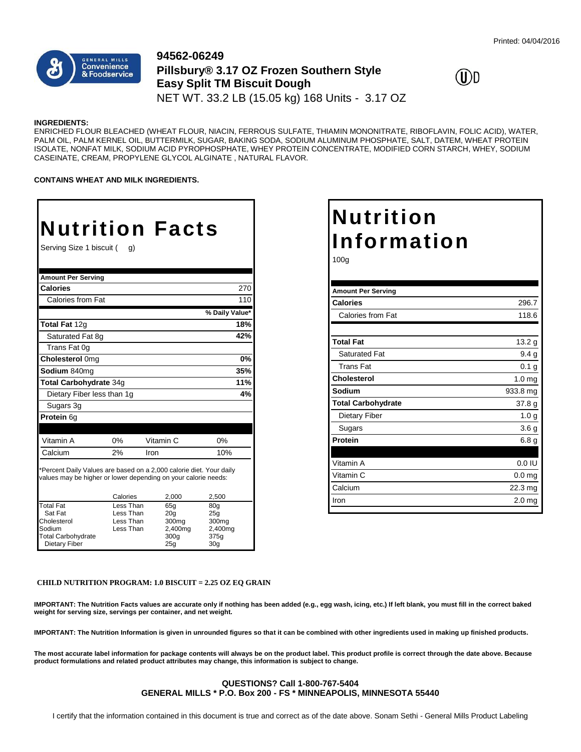

### **94562-06249 Pillsbury® 3.17 OZ Frozen Southern Style Easy Split TM Biscuit Dough** NET WT. 33.2 LB (15.05 kg) 168 Units - 3.17 OZ



#### **INGREDIENTS:**

ENRICHED FLOUR BLEACHED (WHEAT FLOUR, NIACIN, FERROUS SULFATE, THIAMIN MONONITRATE, RIBOFLAVIN, FOLIC ACID), WATER, PALM OIL, PALM KERNEL OIL, BUTTERMILK, SUGAR, BAKING SODA, SODIUM ALUMINUM PHOSPHATE, SALT, DATEM, WHEAT PROTEIN ISOLATE, NONFAT MILK, SODIUM ACID PYROPHOSPHATE, WHEY PROTEIN CONCENTRATE, MODIFIED CORN STARCH, WHEY, SODIUM CASEINATE, CREAM, PROPYLENE GLYCOL ALGINATE , NATURAL FLAVOR.

**CONTAINS WHEAT AND MILK INGREDIENTS.**

# **Nutrition Facts**

Serving Size 1 biscuit ( g)

| <b>Amount Per Serving</b>                                                                                                                                           |           |      |                   |                  |     |  |
|---------------------------------------------------------------------------------------------------------------------------------------------------------------------|-----------|------|-------------------|------------------|-----|--|
| <b>Calories</b>                                                                                                                                                     |           |      |                   |                  | 270 |  |
| Calories from Fat                                                                                                                                                   |           |      |                   |                  | 110 |  |
|                                                                                                                                                                     |           |      |                   | % Daily Value*   |     |  |
| Total Fat 12g                                                                                                                                                       |           |      |                   |                  | 18% |  |
| Saturated Fat 8q                                                                                                                                                    |           |      |                   |                  | 42% |  |
| Trans Fat 0q                                                                                                                                                        |           |      |                   |                  |     |  |
| Cholesterol 0mg                                                                                                                                                     |           |      |                   |                  | 0%  |  |
| Sodium 840mg                                                                                                                                                        |           |      |                   |                  | 35% |  |
| Total Carbohydrate 34g                                                                                                                                              |           |      |                   |                  | 11% |  |
| Dietary Fiber less than 1g                                                                                                                                          |           |      |                   |                  | 4%  |  |
| Sugars 3g                                                                                                                                                           |           |      |                   |                  |     |  |
| Protein 6q                                                                                                                                                          |           |      |                   |                  |     |  |
|                                                                                                                                                                     |           |      |                   |                  |     |  |
| Vitamin A                                                                                                                                                           | 0%        |      | Vitamin C         | 0%               |     |  |
| Calcium                                                                                                                                                             | 2%        | Iron |                   | 10%              |     |  |
| *Percent Daily Values are based on a 2,000 calorie diet. Your daily<br>values may be higher or lower depending on your calorie needs:<br>Calories<br>2,000<br>2,500 |           |      |                   |                  |     |  |
| <b>Total Fat</b>                                                                                                                                                    | Less Than |      | 65a               | 80a              |     |  |
| Sat Fat                                                                                                                                                             | Less Than |      | 20 <sub>q</sub>   | 25a              |     |  |
| Cholesterol                                                                                                                                                         | Less Than |      | 300 <sub>mq</sub> | 300mg            |     |  |
| Sodium                                                                                                                                                              | Less Than |      | 2,400mg           | 2,400mg          |     |  |
| <b>Total Carbohydrate</b>                                                                                                                                           |           |      | 300q              | 375 <sub>g</sub> |     |  |
| Dietary Fiber                                                                                                                                                       |           |      | 25 <sub>a</sub>   | 30a              |     |  |

## **Nutrition Information**

100g

| <b>Amount Per Serving</b> |                   |
|---------------------------|-------------------|
| <b>Calories</b>           | 296.7             |
| Calories from Fat         | 118.6             |
|                           |                   |
| <b>Total Fat</b>          | 13.2 g            |
| <b>Saturated Fat</b>      | 9.4 <sub>g</sub>  |
| Trans Fat                 | 0.1 <sub>g</sub>  |
| <b>Cholesterol</b>        | 1.0 <sub>mg</sub> |
| Sodium                    | 933.8 mg          |
| <b>Total Carbohydrate</b> | 37.8 <sub>g</sub> |
| <b>Dietary Fiber</b>      | 1.0 <sub>g</sub>  |
| Sugars                    | 3.6 <sub>g</sub>  |
| Protein                   | 6.8 <sub>g</sub>  |
|                           |                   |
| Vitamin A                 | $0.0$ IU          |
| Vitamin C                 | 0.0 <sub>mg</sub> |
| Calcium                   | $22.3 \text{ mg}$ |
| Iron                      | 2.0 <sub>mg</sub> |
|                           |                   |

#### **CHILD NUTRITION PROGRAM: 1.0 BISCUIT = 2.25 OZ EQ GRAIN**

**IMPORTANT: The Nutrition Facts values are accurate only if nothing has been added (e.g., egg wash, icing, etc.) If left blank, you must fill in the correct baked weight for serving size, servings per container, and net weight.**

**IMPORTANT: The Nutrition Information is given in unrounded figures so that it can be combined with other ingredients used in making up finished products.**

**The most accurate label information for package contents will always be on the product label. This product profile is correct through the date above. Because product formulations and related product attributes may change, this information is subject to change.**

#### **QUESTIONS? Call 1-800-767-5404 GENERAL MILLS \* P.O. Box 200 - FS \* MINNEAPOLIS, MINNESOTA 55440**